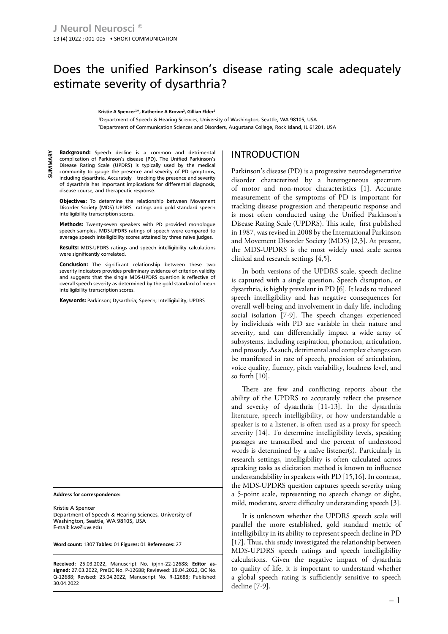# Does the unified Parkinson's disease rating scale adequately estimate severity of dysarthria?

**Kristie A Spencer<sup>1</sup> \*, Katherine A Brown<sup>2</sup> , Gillian Elder<sup>1</sup>**

1 Department of Speech & Hearing Sciences, University of Washington, Seattle, WA 98105, USA 2 Department of Communication Sciences and Disorders, Augustana College, Rock Island, IL 61201, USA

**Background:** Speech decline is a common and detrimental complication of Parkinson's disease (PD). The Unified Parkinson's Disease Rating Scale (UPDRS) is typically used by the medical community to gauge the presence and severity of PD symptoms, including dysarthria. Accurately tracking the presence and severity of dysarthria has important implications for differential diagnosis, disease course, and therapeutic response.

**Objectives:** To determine the relationship between Movement Disorder Society (MDS) UPDRS ratings and gold standard speech intelligibility transcription scores.

**Methods:** Twenty-seven speakers with PD provided monologue speech samples. MDS-UPDRS ratings of speech were compared to average speech intelligibility scores attained by three naïve judges.

**Results:** MDS-UPDRS ratings and speech intelligibility calculations were significantly correlated.

**Conclusion:** The significant relationship between these two severity indicators provides preliminary evidence of criterion validity and suggests that the single MDS-UPDRS question is reflective of overall speech severity as determined by the gold standard of mean intelligibility transcription scores.

**Keywords:** Parkinson; Dysarthria; Speech; Intelligibility; UPDRS

**Address for correspondence:**

Kristie A Spencer Department of Speech & Hearing Sciences, University of Washington, Seattle, WA 98105, USA E-mail: kas@uw.edu

**Word count:** 1307 **Tables:** 01 **Figures:** 01 **References:** 27

**Received:** 25.03.2022, Manuscript No. ipjnn-22-12688; **Editor assigned:** 27.03.2022, PreQC No. P-12688; Reviewed: 19.04.2022, QC No. Q-12688; Revised: 23.04.2022, Manuscript No. R-12688; Published: 30.04.2022

## INTRODUCTION

Parkinson's disease (PD) is a progressive neurodegenerative disorder characterized by a heterogeneous spectrum of motor and non-motor characteristics [1]. Accurate measurement of the symptoms of PD is important for tracking disease progression and therapeutic response and is most often conducted using the Unified Parkinson's Disease Rating Scale (UPDRS). This scale, first published in 1987, was revised in 2008 by the International Parkinson and Movement Disorder Society (MDS) [2,3]. At present, the MDS-UPDRS is the most widely used scale across clinical and research settings [4,5].

In both versions of the UPDRS scale, speech decline is captured with a single question. Speech disruption, or dysarthria, is highly prevalent in PD [6]. It leads to reduced speech intelligibility and has negative consequences for overall well-being and involvement in daily life, including social isolation [7-9]. The speech changes experienced by individuals with PD are variable in their nature and severity, and can differentially impact a wide array of subsystems, including respiration, phonation, articulation, and prosody. As such, detrimental and complex changes can be manifested in rate of speech, precision of articulation, voice quality, fluency, pitch variability, loudness level, and so forth [10].

There are few and conflicting reports about the ability of the UPDRS to accurately reflect the presence and severity of dysarthria [11-13]. In the dysarthria literature, speech intelligibility, or how understandable a speaker is to a listener, is often used as a proxy for speech severity [14]. To determine intelligibility levels, speaking passages are transcribed and the percent of understood words is determined by a naïve listener(s). Particularly in research settings, intelligibility is often calculated across speaking tasks as elicitation method is known to influence understandability in speakers with PD [15,16]. In contrast, the MDS-UPDRS question captures speech severity using a 5-point scale, representing no speech change or slight, mild, moderate, severe difficulty understanding speech [3].

It is unknown whether the UPDRS speech scale will parallel the more established, gold standard metric of intelligibility in its ability to represent speech decline in PD [17]. Thus, this study investigated the relationship between MDS-UPDRS speech ratings and speech intelligibility calculations. Given the negative impact of dysarthria to quality of life, it is important to understand whether a global speech rating is sufficiently sensitive to speech decline [7-9].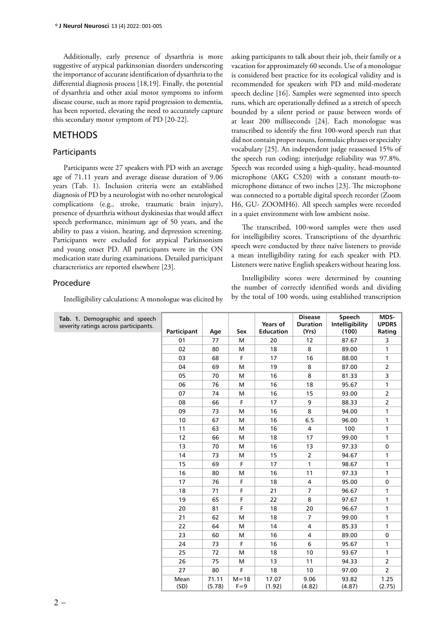Additionally, early presence of dysarthria is more suggestive of atypical parkinsonian disorders underscoring the importance of accurate identification of dysarthria to the differential diagnosis process [18,19]. Finally, the potential of dysarthria and other axial motor symptoms to inform disease course, such as more rapid progression to dementia, has been reported, elevating the need to accurately capture this secondary motor symptom of PD [20-22].

## **METHODS**

#### Participants

Participants were 27 speakers with PD with an average age of 71.11 years and average disease duration of 9.06 years (Tab. 1). Inclusion criteria were an established diagnosis of PD by a neurologist with no other neurological complications (e.g., stroke, traumatic brain injury), presence of dysarthria without dyskinesias that would affect speech performance, minimum age of 50 years, and the ability to pass a vision, hearing, and depression screening. Participants were excluded for atypical Parkinsonism and young onset PD. All participants were in the ON medication state during examinations. Detailed participant characteristics are reported elsewhere [23].

#### Procedure

Intelligibility calculations: A monologue was elicited by

asking participants to talk about their job, their family or a vacation for approximately 60 seconds. Use of a monologue is considered best practice for its ecological validity and is recommended for speakers with PD and mild-moderate speech decline [16]. Samples were segmented into speech runs, which are operationally defined as a stretch of speech bounded by a silent period or pause between words of at least 200 milliseconds [24]. Each monologue was transcribed to identify the first 100-word speech run that did not contain proper nouns, formulaic phrases or specialty vocabulary [25]. An independent judge reassessed 15% of the speech run coding; interjudge reliability was 97.8%. Speech was recorded using a high-quality, head-mounted microphone (AKG C520) with a constant mouth-tomicrophone distance of two inches [23]. The microphone was connected to a portable digital speech recorder (Zoom H6, GU- ZOOMH6). All speech samples were recorded in a quiet environment with low ambient noise.

The transcribed, 100-word samples were then used for intelligibility scores. Transcriptions of the dysarthric speech were conducted by three naïve listeners to provide a mean intelligibility rating for each speaker with PD. Listeners were native English speakers without hearing loss.

Intelligibility scores were determined by counting the number of correctly identified words and dividing by the total of 100 words, using established transcription

| Tab. 1. Demographic and speech<br>severity ratings across participants. | Participant  | Age             | Sex                 | Years of<br><b>Education</b> | <b>Disease</b><br><b>Duration</b><br>(Yrs) | Speech<br>Intelligibility<br>(100) | MDS-<br><b>UPDRS</b><br>Rating |
|-------------------------------------------------------------------------|--------------|-----------------|---------------------|------------------------------|--------------------------------------------|------------------------------------|--------------------------------|
|                                                                         | 01           | 77              | M                   | 20                           | 12                                         | 87.67                              | 3                              |
|                                                                         | 02           | 80              | M                   | 18                           | 8                                          | 89.00                              | 1                              |
|                                                                         | 03           | 68              | F                   | 17                           | 16                                         | 88.00                              | 1                              |
|                                                                         | 04           | 69              | M                   | 19                           | 8                                          | 87.00                              | $\overline{2}$                 |
|                                                                         | 05           | 70              | M                   | 16                           | 8                                          | 81.33                              | 3                              |
|                                                                         | 06           | 76              | M                   | 16                           | 18                                         | 95.67                              | 1                              |
|                                                                         | 07           | 74              | M                   | 16                           | 15                                         | 93.00                              | $\overline{2}$                 |
|                                                                         | 08           | 66              | F                   | 17                           | 9                                          | 88.33                              | $\overline{2}$                 |
|                                                                         | 09           | 73              | М                   | 16                           | 8                                          | 94.00                              | 1                              |
|                                                                         | 10           | 67              | M                   | 16                           | 6.5                                        | 96.00                              | 1                              |
|                                                                         | 11           | 63              | M                   | 16                           | 4                                          | 100                                | $\mathbf{1}$                   |
|                                                                         | 12           | 66              | M                   | 18                           | 17                                         | 99.00                              | 1                              |
|                                                                         | 13           | 70              | M                   | 16                           | 13                                         | 97.33                              | $\pmb{0}$                      |
|                                                                         | 14           | 73              | M                   | 15                           | $\overline{2}$                             | 94.67                              | 1                              |
|                                                                         | 15           | 69              | F                   | 17                           | $\mathbf{1}$                               | 98.67                              | $\mathbf{1}$                   |
|                                                                         | 16           | 80              | M                   | 16                           | 11                                         | 97.33                              | 1                              |
|                                                                         | 17           | 76              | F                   | 18                           | 4                                          | 95.00                              | 0                              |
|                                                                         | 18           | 71              | F                   | 21                           | $\overline{7}$                             | 96.67                              | 1                              |
|                                                                         | 19           | 65              | F                   | 22                           | 8                                          | 97.67                              | 1                              |
|                                                                         | 20           | 81              | F                   | 18                           | 20                                         | 96.67                              | $\mathbf{1}$                   |
|                                                                         | 21           | 62              | M                   | 18                           | 7                                          | 99.00                              | 1                              |
|                                                                         | 22           | 64              | M                   | 14                           | 4                                          | 85.33                              | 1                              |
|                                                                         | 23           | 60              | M                   | 16                           | $\overline{4}$                             | 89.00                              | $\mathbf 0$                    |
|                                                                         | 24           | 73              | F                   | 16                           | 6                                          | 95.67                              | 1                              |
|                                                                         | 25           | 72              | M                   | 18                           | 10                                         | 93.67                              | $\mathbf{1}$                   |
|                                                                         | 26           | 75              | M                   | 13                           | 11                                         | 94.33                              | $\overline{2}$                 |
|                                                                         | 27           | 80              | F.                  | 18                           | 10                                         | 97.00                              | $\overline{2}$                 |
|                                                                         | Mean<br>(SD) | 71.11<br>(5.78) | $M = 18$<br>$F = 9$ | 17.07<br>(1.92)              | 9.06<br>(4.82)                             | 93.82<br>(4.87)                    | 1.25<br>(2.75)                 |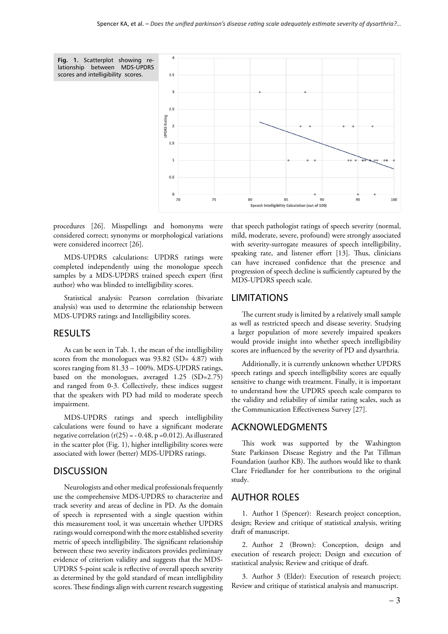

procedures [26]. Misspellings and homonyms were considered correct; synonyms or morphological variations were considered incorrect [26].

MDS-UPDRS calculations: UPDRS ratings were completed independently using the monologue speech samples by a MDS-UPDRS trained speech expert (first author) who was blinded to intelligibility scores.

Statistical analysis: Pearson correlation (bivariate analysis) was used to determine the relationship between MDS-UPDRS ratings and Intelligibility scores.

## RESULTS

As can be seen in Tab. 1, the mean of the intelligibility scores from the monologues was  $93.82$  (SD= 4.87) with scores ranging from 81.33 – 100%. MDS-UPDRS ratings, based on the monologues, averaged 1.25 (SD=2.75) and ranged from 0-3. Collectively, these indices suggest that the speakers with PD had mild to moderate speech impairment.

MDS-UPDRS ratings and speech intelligibility calculations were found to have a significant moderate negative correlation  $(r(25) = -0.48, p = 0.012)$ . As illustrated in the scatter plot (Fig. 1), higher intelligibility scores were associated with lower (better) MDS-UPDRS ratings.

#### **DISCUSSION**

Neurologists and other medical professionals frequently use the comprehensive MDS-UPDRS to characterize and track severity and areas of decline in PD. As the domain of speech is represented with a single question within this measurement tool, it was uncertain whether UPDRS ratings would correspond with the more established severity metric of speech intelligibility. The significant relationship between these two severity indicators provides preliminary evidence of criterion validity and suggests that the MDS-UPDRS 5-point scale is reflective of overall speech severity as determined by the gold standard of mean intelligibility scores. These findings align with current research suggesting that speech pathologist ratings of speech severity (normal, mild, moderate, severe, profound) were strongly associated with severity-surrogate measures of speech intelligibility, speaking rate, and listener effort [13]. Thus, clinicians can have increased confidence that the presence and progression of speech decline is sufficiently captured by the MDS-UPDRS speech scale.

#### LIMITATIONS

The current study is limited by a relatively small sample as well as restricted speech and disease severity. Studying a larger population of more severely impaired speakers would provide insight into whether speech intelligibility scores are influenced by the severity of PD and dysarthria.

Additionally, it is currently unknown whether UPDRS speech ratings and speech intelligibility scores are equally sensitive to change with treatment. Finally, it is important to understand how the UPDRS speech scale compares to the validity and reliability of similar rating scales, such as the Communication Effectiveness Survey [27].

## ACKNOWLEDGMENTS

This work was supported by the Washington State Parkinson Disease Registry and the Pat Tillman Foundation (author KB). The authors would like to thank Clare Friedlander for her contributions to the original study.

## AUTHOR ROLES

1. Author 1 (Spencer): Research project conception, design; Review and critique of statistical analysis, writing draft of manuscript.

2. Author 2 (Brown): Conception, design and execution of research project; Design and execution of statistical analysis; Review and critique of draft.

3. Author 3 (Elder): Execution of research project; Review and critique of statistical analysis and manuscript.